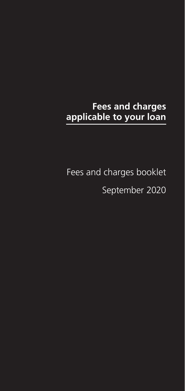# **Fees and charges applicable to your loan**

Fees and charges booklet September 2020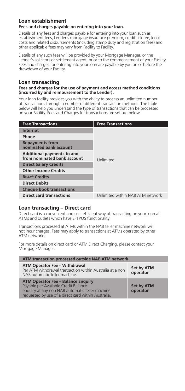# **Loan establishment**

#### **Fees and charges payable on entering into your loan.**

Details of any fees and charges payable for entering into your loan such as establishment fees, Lender's mortgage insurance premium, credit risk fee, legal costs and related disbursements (including stamp duty and registration fees) and other applicable fees may vary from Facility to Facility.

Details of any such fees will be provided by your Mortgage Manager, or the Lender's solicitors or settlement agent, prior to the commencement of your Facility. Fees and charges for entering into your loan are payable by you on or before the drawdown of your Facility.

# **Loan transacting**

#### **Fees and charges for the use of payment and access method conditions (incurred by and reimbursement to the Lender).**

Your loan facility provides you with the ability to process an unlimited number of transactions through a number of different transaction methods. The table below will help you understand the type of transactions that can be processed on your Facility. Fees and Charges for transactions are set out below.

| <b>Free Transactions</b>                                  | <b>Free Transactions</b>         |
|-----------------------------------------------------------|----------------------------------|
| <b>Internet</b>                                           |                                  |
| Phone                                                     |                                  |
| <b>Repayments from</b><br>nominated bank account          |                                  |
| Additional payments to and<br>from nominated bank account | Unlimited                        |
| <b>Direct Salary Credits</b>                              |                                  |
| <b>Other Income Credits</b>                               |                                  |
| <b>BPAY<sup>®</sup></b> Credits                           |                                  |
| <b>Direct Debits</b>                                      |                                  |
| <b>Cheque book transactions</b>                           |                                  |
| <b>Direct card transactions</b>                           | Unlimited within NAB ATM network |

# **Loan transacting – Direct card**

Direct card is a convenient and cost efficient way of transacting on your loan at ATMs and outlets which have EFTPOS functionality.

Transactions processed at ATMs within the NAB teller machine network will not incur charges. Fees may apply to transactions at ATMs operated by other ATM networks.

For more details on direct card or ATM Direct Charging, please contact your Mortgage Manager.

| ATM transaction processed outside NAB ATM network                                                                                                                                           |                               |  |
|---------------------------------------------------------------------------------------------------------------------------------------------------------------------------------------------|-------------------------------|--|
| <b>ATM Operator Fee - Withdrawal</b><br>Per ATM withdrawal transaction within Australia at a non<br>NAB automatic teller machine.                                                           | Set by ATM<br>operator        |  |
| <b>ATM Operator Fee - Balance Enquiry</b><br>Payable per Available Credit Balance<br>enquiry at any non NAB automatic teller machine<br>requested by use of a direct card within Australia. | <b>Set by ATM</b><br>operator |  |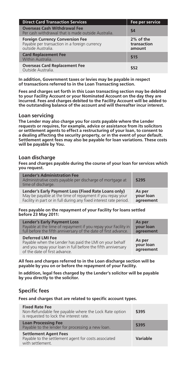| <b>Direct Card Transaction Services</b>                                                                       | Fee per service                    |
|---------------------------------------------------------------------------------------------------------------|------------------------------------|
| <b>Overseas Cash Withdrawal Fee</b><br>Per cash withdrawal that is made outside Australia.                    | \$4                                |
| <b>Foreign Currency Conversion Fee</b><br>Payable per transaction in a foreign currency<br>outside Australia. | 2% of the<br>transaction<br>amount |
| <b>Card Replacement Fee</b><br>Within Australia.                                                              | \$15                               |
| <b>Overseas Card Replacement Fee</b><br>Outside Australia.                                                    | \$52                               |

**In addition, Government taxes or levies may be payable in respect of transactions referred to in the Loan Transacting section.**

**Fees and charges set forth in this Loan transacting section may be debited to your Facility Account or your Nominated Account on the day they are incurred. Fees and charges debited to the Facility Account will be added to the outstanding balance of the account and will thereafter incur interest.**

#### **Loan servicing**

**The Lender may also charge you for costs payable where the Lender requests or requires, for example, advice or assistance from its solicitors or settlement agents to effect a restructuring of your loan, to consent to a dealing affecting the security property, or in the event of your default. Settlement agent fees may also be payable for loan variations. These costs will be payable by You.**

### **Loan discharge**

**Fees and charges payable during the course of your loan for services which you request.**

| <b>Lender's Administration Fee</b><br>Administrative costs payable per discharge of mortgage at<br>time of discharge. | \$295     |
|-----------------------------------------------------------------------------------------------------------------------|-----------|
| Lender's Early Payment Loss (Fixed Rate Loans only)                                                                   | As per    |
| May be payable at the time of repayment if you repay your                                                             | your loan |
| Facility in part or in full during any fixed interest rate period.                                                    | agreement |

#### **Fees payable on the repayment of your Facility for loans settled before 23 May 2011:**

| <b>Lender's Early Payment Loss</b>                                                                                                                                                  | As per                           |
|-------------------------------------------------------------------------------------------------------------------------------------------------------------------------------------|----------------------------------|
| Payable at the time of repayment if you repay your Facility in                                                                                                                      | your loan                        |
| full before the fifth anniversary of the date of first advance.                                                                                                                     | agreement                        |
| <b>Deferred LMI Fee</b><br>Payable when the Lender has paid the LMI on your behalf<br>and you repay your loan in full before the fifth anniversary<br>of the date of first advance. | As per<br>your loan<br>agreement |

**All fees and charges referred to in the Loan discharge section will be payable by you on or before the repayment of your Facility.**

**In addition, legal fees charged by the Lender's solicitor will be payable by you directly to the solicitor.**

# **Specific fees**

**Fees and charges that are related to specific account types.**

| <b>Fixed Rate Fee</b><br>Non-Refundable fee payable where the Lock Rate option<br>is requested to lock the interest rate. | \$395    |
|---------------------------------------------------------------------------------------------------------------------------|----------|
| <b>Loan Processing Fee</b><br>Payable to the lender for processing a new loan.                                            | \$395    |
| <b>Settlement Agent Fees</b><br>Payable to the settlement agent for costs associated<br>with settlement.                  | Variable |